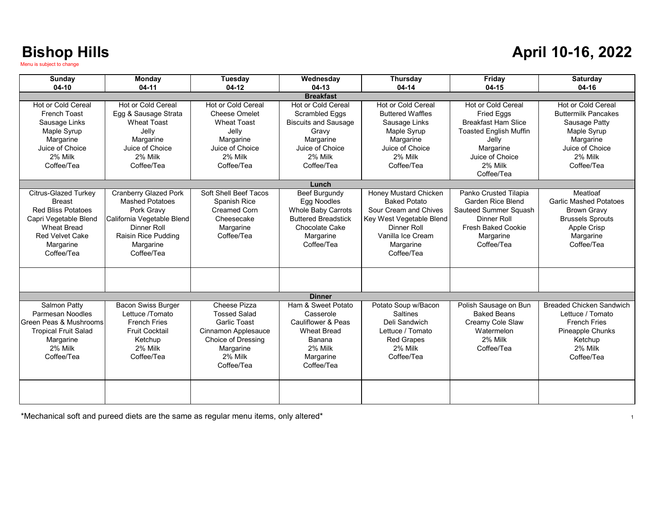#### **April 10-16, 2022**

| Sunday<br>$04-10$                                                                                                                                                             | <b>Monday</b><br>$04-11$                                                                                                                                            | Tuesday<br>$04-12$                                                                                                                            | Wednesday<br>$04-13$                                                                                                                                | Thursday<br>$04 - 14$                                                                                                                                                   | Friday<br>04-15                                                                                                                                                                 | <b>Saturday</b><br>04-16                                                                                                                  |  |
|-------------------------------------------------------------------------------------------------------------------------------------------------------------------------------|---------------------------------------------------------------------------------------------------------------------------------------------------------------------|-----------------------------------------------------------------------------------------------------------------------------------------------|-----------------------------------------------------------------------------------------------------------------------------------------------------|-------------------------------------------------------------------------------------------------------------------------------------------------------------------------|---------------------------------------------------------------------------------------------------------------------------------------------------------------------------------|-------------------------------------------------------------------------------------------------------------------------------------------|--|
| <b>Breakfast</b>                                                                                                                                                              |                                                                                                                                                                     |                                                                                                                                               |                                                                                                                                                     |                                                                                                                                                                         |                                                                                                                                                                                 |                                                                                                                                           |  |
| <b>Hot or Cold Cereal</b><br><b>French Toast</b><br>Sausage Links<br>Maple Syrup<br>Margarine<br>Juice of Choice<br>2% Milk<br>Coffee/Tea                                     | Hot or Cold Cereal<br>Egg & Sausage Strata<br><b>Wheat Toast</b><br>Jelly<br>Margarine<br>Juice of Choice<br>2% Milk<br>Coffee/Tea                                  | <b>Hot or Cold Cereal</b><br><b>Cheese Omelet</b><br><b>Wheat Toast</b><br>Jelly<br>Margarine<br>Juice of Choice<br>2% Milk<br>Coffee/Tea     | <b>Hot or Cold Cereal</b><br><b>Scrambled Eggs</b><br><b>Biscuits and Sausage</b><br>Gravv<br>Margarine<br>Juice of Choice<br>2% Milk<br>Coffee/Tea | <b>Hot or Cold Cereal</b><br><b>Buttered Waffles</b><br>Sausage Links<br>Maple Syrup<br>Margarine<br>Juice of Choice<br>2% Milk<br>Coffee/Tea                           | <b>Hot or Cold Cereal</b><br><b>Fried Eggs</b><br><b>Breakfast Ham Slice</b><br><b>Toasted English Muffin</b><br>Jelly<br>Margarine<br>Juice of Choice<br>2% Milk<br>Coffee/Tea | Hot or Cold Cereal<br><b>Buttermilk Pancakes</b><br>Sausage Patty<br>Maple Syrup<br>Margarine<br>Juice of Choice<br>2% Milk<br>Coffee/Tea |  |
|                                                                                                                                                                               |                                                                                                                                                                     |                                                                                                                                               | Lunch                                                                                                                                               |                                                                                                                                                                         |                                                                                                                                                                                 |                                                                                                                                           |  |
| <b>Citrus-Glazed Turkey</b><br><b>Breast</b><br><b>Red Bliss Potatoes</b><br>Capri Vegetable Blend<br><b>Wheat Bread</b><br><b>Red Velvet Cake</b><br>Margarine<br>Coffee/Tea | <b>Cranberry Glazed Pork</b><br><b>Mashed Potatoes</b><br>Pork Gravy<br>California Vegetable Blend<br>Dinner Roll<br>Raisin Rice Pudding<br>Margarine<br>Coffee/Tea | Soft Shell Beef Tacos<br>Spanish Rice<br><b>Creamed Corn</b><br>Cheesecake<br>Margarine<br>Coffee/Tea                                         | Beef Burgundy<br>Egg Noodles<br><b>Whole Baby Carrots</b><br><b>Buttered Breadstick</b><br>Chocolate Cake<br>Margarine<br>Coffee/Tea                | Honey Mustard Chicken<br><b>Baked Potato</b><br>Sour Cream and Chives<br>Key West Vegetable Blend<br><b>Dinner Roll</b><br>Vanilla Ice Cream<br>Margarine<br>Coffee/Tea | Panko Crusted Tilapia<br>Garden Rice Blend<br>Sauteed Summer Squash<br>Dinner Roll<br><b>Fresh Baked Cookie</b><br>Margarine<br>Coffee/Tea                                      | Meatloaf<br><b>Garlic Mashed Potatoes</b><br><b>Brown Gravy</b><br><b>Brussels Sprouts</b><br>Apple Crisp<br>Margarine<br>Coffee/Tea      |  |
|                                                                                                                                                                               |                                                                                                                                                                     |                                                                                                                                               | <b>Dinner</b>                                                                                                                                       |                                                                                                                                                                         |                                                                                                                                                                                 |                                                                                                                                           |  |
| Salmon Patty<br>Parmesan Noodles<br>Green Peas & Mushrooms<br><b>Tropical Fruit Salad</b><br>Margarine<br>2% Milk<br>Coffee/Tea                                               | <b>Bacon Swiss Burger</b><br>Lettuce /Tomato<br><b>French Fries</b><br><b>Fruit Cocktail</b><br>Ketchup<br>2% Milk<br>Coffee/Tea                                    | Cheese Pizza<br><b>Tossed Salad</b><br><b>Garlic Toast</b><br>Cinnamon Applesauce<br>Choice of Dressing<br>Margarine<br>2% Milk<br>Coffee/Tea | Ham & Sweet Potato<br>Casserole<br>Cauliflower & Peas<br><b>Wheat Bread</b><br>Banana<br>2% Milk<br>Margarine<br>Coffee/Tea                         | Potato Soup w/Bacon<br><b>Saltines</b><br>Deli Sandwich<br>Lettuce / Tomato<br><b>Red Grapes</b><br>2% Milk<br>Coffee/Tea                                               | Polish Sausage on Bun<br><b>Baked Beans</b><br>Creamy Cole Slaw<br>Watermelon<br>2% Milk<br>Coffee/Tea                                                                          | <b>Breaded Chicken Sandwich</b><br>Lettuce / Tomato<br><b>French Fries</b><br>Pineapple Chunks<br>Ketchup<br>2% Milk<br>Coffee/Tea        |  |
|                                                                                                                                                                               |                                                                                                                                                                     |                                                                                                                                               |                                                                                                                                                     |                                                                                                                                                                         |                                                                                                                                                                                 |                                                                                                                                           |  |

\*Mechanical soft and pureed diets are the same as regular menu items, only altered\*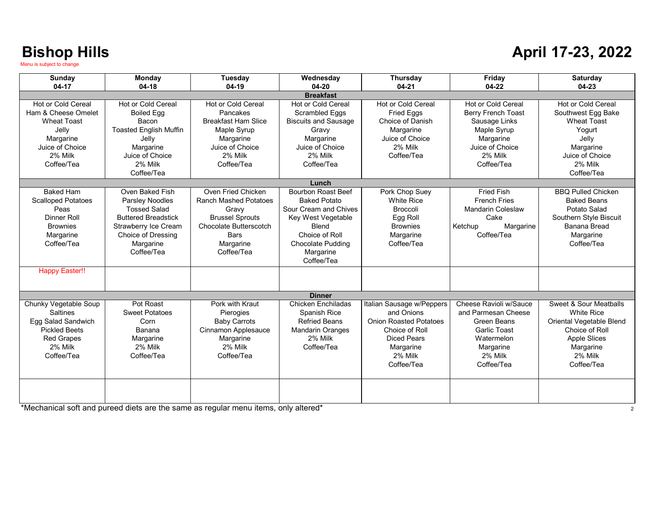#### **April 17-23, 2022**

| Sunday                                    | Monday                        | Tuesday                      | Wednesday                              | Thursday                      | Friday                    | <b>Saturday</b>           |
|-------------------------------------------|-------------------------------|------------------------------|----------------------------------------|-------------------------------|---------------------------|---------------------------|
| $04-17$                                   | $04-18$                       | $04-19$                      | $04 - 20$                              | $04 - 21$                     | $04-22$                   | $04-23$                   |
|                                           | Hot or Cold Cereal            | <b>Hot or Cold Cereal</b>    | <b>Breakfast</b><br>Hot or Cold Cereal | <b>Hot or Cold Cereal</b>     | Hot or Cold Cereal        | Hot or Cold Cereal        |
| Hot or Cold Cereal<br>Ham & Cheese Omelet |                               | Pancakes                     |                                        |                               |                           |                           |
|                                           | <b>Boiled Egg</b>             | <b>Breakfast Ham Slice</b>   | Scrambled Eggs                         | <b>Fried Eggs</b>             | <b>Berry French Toast</b> | Southwest Egg Bake        |
| <b>Wheat Toast</b>                        | <b>Bacon</b>                  |                              | <b>Biscuits and Sausage</b>            | Choice of Danish              | Sausage Links             | <b>Wheat Toast</b>        |
| Jelly                                     | <b>Toasted English Muffin</b> | Maple Syrup                  | Gravy                                  | Margarine                     | Maple Syrup               | Yogurt                    |
| Margarine                                 | Jelly                         | Margarine                    | Margarine                              | Juice of Choice               | Margarine                 | Jelly                     |
| Juice of Choice                           | Margarine                     | Juice of Choice              | Juice of Choice                        | 2% Milk                       | Juice of Choice           | Margarine                 |
| 2% Milk                                   | Juice of Choice               | 2% Milk                      | 2% Milk                                | Coffee/Tea                    | 2% Milk                   | Juice of Choice           |
| Coffee/Tea                                | 2% Milk                       | Coffee/Tea                   | Coffee/Tea                             |                               | Coffee/Tea                | 2% Milk                   |
|                                           | Coffee/Tea                    |                              |                                        |                               |                           | Coffee/Tea                |
|                                           |                               |                              | Lunch                                  |                               |                           |                           |
| <b>Baked Ham</b>                          | Oven Baked Fish               | Oven Fried Chicken           | <b>Bourbon Roast Beef</b>              | Pork Chop Suey                | <b>Fried Fish</b>         | <b>BBQ Pulled Chicken</b> |
| <b>Scalloped Potatoes</b>                 | <b>Parsley Noodles</b>        | <b>Ranch Mashed Potatoes</b> | <b>Baked Potato</b>                    | <b>White Rice</b>             | <b>French Fries</b>       | <b>Baked Beans</b>        |
| Peas                                      | <b>Tossed Salad</b>           | Gravy                        | Sour Cream and Chives                  | <b>Broccoli</b>               | <b>Mandarin Coleslaw</b>  | Potato Salad              |
| Dinner Roll                               | <b>Buttered Breadstick</b>    | <b>Brussel Sprouts</b>       | Key West Vegetable                     | Egg Roll                      | Cake                      | Southern Style Biscuit    |
| <b>Brownies</b>                           | Strawberry Ice Cream          | Chocolate Butterscotch       | <b>Blend</b>                           | <b>Brownies</b>               | Ketchup<br>Margarine      | <b>Banana Bread</b>       |
| Margarine                                 | <b>Choice of Dressing</b>     | <b>Bars</b>                  | Choice of Roll                         | Margarine                     | Coffee/Tea                | Margarine                 |
| Coffee/Tea                                | Margarine                     | Margarine                    | <b>Chocolate Pudding</b>               | Coffee/Tea                    |                           | Coffee/Tea                |
|                                           | Coffee/Tea                    | Coffee/Tea                   | Margarine                              |                               |                           |                           |
|                                           |                               |                              | Coffee/Tea                             |                               |                           |                           |
| <b>Happy Easter!!</b>                     |                               |                              |                                        |                               |                           |                           |
|                                           |                               |                              |                                        |                               |                           |                           |
|                                           |                               |                              | <b>Dinner</b>                          |                               |                           |                           |
| Chunky Vegetable Soup                     | Pot Roast                     | Pork with Kraut              | Chicken Enchiladas                     | Italian Sausage w/Peppers     | Cheese Ravioli w/Sauce    | Sweet & Sour Meatballs    |
| <b>Saltines</b>                           | <b>Sweet Potatoes</b>         | Pierogies                    | Spanish Rice                           | and Onions                    | and Parmesan Cheese       | <b>White Rice</b>         |
| Egg Salad Sandwich                        | Corn                          | <b>Baby Carrots</b>          | <b>Refried Beans</b>                   | <b>Onion Roasted Potatoes</b> | Green Beans               | Oriental Vegetable Blend  |
| <b>Pickled Beets</b>                      | Banana                        | Cinnamon Applesauce          | <b>Mandarin Oranges</b>                | Choice of Roll                | <b>Garlic Toast</b>       | Choice of Roll            |
| <b>Red Grapes</b>                         | Margarine                     | Margarine                    | 2% Milk                                | <b>Diced Pears</b>            | Watermelon                | <b>Apple Slices</b>       |
| 2% Milk                                   | 2% Milk                       | 2% Milk                      | Coffee/Tea                             | Margarine                     | Margarine                 | Margarine                 |
| Coffee/Tea                                | Coffee/Tea                    | Coffee/Tea                   |                                        | 2% Milk                       | 2% Milk                   | 2% Milk                   |
|                                           |                               |                              |                                        | Coffee/Tea                    | Coffee/Tea                | Coffee/Tea                |
|                                           |                               |                              |                                        |                               |                           |                           |
|                                           |                               |                              |                                        |                               |                           |                           |
|                                           |                               |                              |                                        |                               |                           |                           |
|                                           |                               |                              |                                        |                               |                           |                           |

\*Mechanical soft and pureed diets are the same as regular menu items, only altered\* 2008. The chanical soft and pureed diets are the same as regular menu items, only altered\*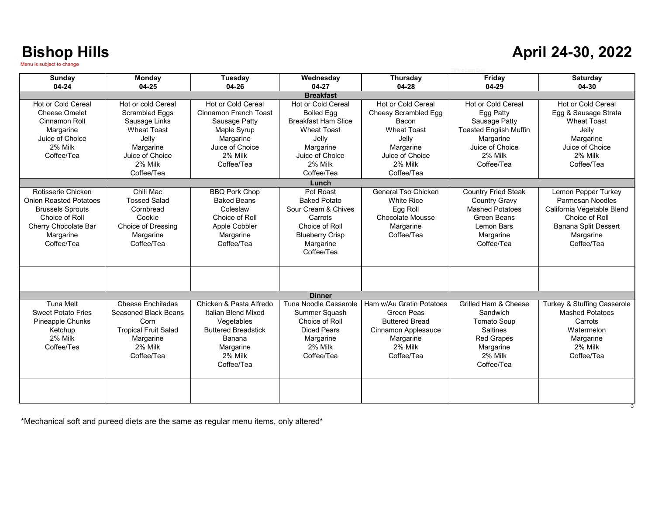#### **April 24-30, 2022**

| Sunday                        | Monday                      | <b>Tuesday</b>             | Wednesday                  | Thursday                  | Friday                        | <b>Saturday</b>             |
|-------------------------------|-----------------------------|----------------------------|----------------------------|---------------------------|-------------------------------|-----------------------------|
| 04-24                         | $04 - 25$                   | 04-26                      | 04-27                      | 04-28                     | 04-29                         | 04-30                       |
|                               |                             |                            | <b>Breakfast</b>           |                           |                               |                             |
| <b>Hot or Cold Cereal</b>     | Hot or cold Cereal          | <b>Hot or Cold Cereal</b>  | Hot or Cold Cereal         | <b>Hot or Cold Cereal</b> | <b>Hot or Cold Cereal</b>     | Hot or Cold Cereal          |
| <b>Cheese Omelet</b>          | Scrambled Eggs              | Cinnamon French Toast      | <b>Boiled Egg</b>          | Cheesy Scrambled Egg      | Egg Patty                     | Egg & Sausage Strata        |
| Cinnamon Roll                 | Sausage Links               | Sausage Patty              | <b>Breakfast Ham Slice</b> | Bacon                     | Sausage Patty                 | <b>Wheat Toast</b>          |
| Margarine                     | <b>Wheat Toast</b>          | Maple Syrup                | <b>Wheat Toast</b>         | <b>Wheat Toast</b>        | <b>Toasted English Muffin</b> | Jelly                       |
| Juice of Choice               | Jelly                       | Margarine                  | Jelly                      | Jelly                     | Margarine                     | Margarine                   |
| 2% Milk                       | Margarine                   | Juice of Choice            | Margarine                  | Margarine                 | Juice of Choice               | Juice of Choice             |
| Coffee/Tea                    | Juice of Choice             | 2% Milk                    | Juice of Choice            | Juice of Choice           | 2% Milk                       | 2% Milk                     |
|                               | 2% Milk                     | Coffee/Tea                 | 2% Milk                    | 2% Milk                   | Coffee/Tea                    | Coffee/Tea                  |
|                               | Coffee/Tea                  |                            | Coffee/Tea                 | Coffee/Tea                |                               |                             |
|                               |                             |                            | Lunch                      |                           |                               |                             |
| Rotisserie Chicken            | Chili Mac                   | <b>BBQ Pork Chop</b>       | Pot Roast                  | General Tso Chicken       | <b>Country Fried Steak</b>    | Lemon Pepper Turkey         |
| <b>Onion Roasted Potatoes</b> | <b>Tossed Salad</b>         | <b>Baked Beans</b>         | <b>Baked Potato</b>        | <b>White Rice</b>         | <b>Country Gravy</b>          | Parmesan Noodles            |
| <b>Brussels Sprouts</b>       | Cornbread                   | Coleslaw                   | Sour Cream & Chives        | Egg Roll                  | <b>Mashed Potatoes</b>        | California Vegetable Blend  |
| Choice of Roll                | Cookie                      | Choice of Roll             | Carrots                    | <b>Chocolate Mousse</b>   | Green Beans                   | Choice of Roll              |
| Cherry Chocolate Bar          | Choice of Dressing          | Apple Cobbler              | Choice of Roll             | Margarine                 | Lemon Bars                    | <b>Banana Split Dessert</b> |
| Margarine                     | Margarine                   | Margarine                  | <b>Blueberry Crisp</b>     | Coffee/Tea                | Margarine                     | Margarine                   |
| Coffee/Tea                    | Coffee/Tea                  | Coffee/Tea                 | Margarine                  |                           | Coffee/Tea                    | Coffee/Tea                  |
|                               |                             |                            | Coffee/Tea                 |                           |                               |                             |
|                               |                             |                            |                            |                           |                               |                             |
|                               |                             |                            |                            |                           |                               |                             |
|                               |                             |                            |                            |                           |                               |                             |
|                               |                             |                            |                            |                           |                               |                             |
|                               |                             |                            | <b>Dinner</b>              |                           |                               |                             |
| Tuna Melt                     | Cheese Fnchiladas           | Chicken & Pasta Alfredo    | Tuna Noodle Casserole      | Ham w/Au Gratin Potatoes  | Grilled Ham & Cheese          | Turkey & Stuffing Casserole |
| <b>Sweet Potato Fries</b>     | Seasoned Black Beans        | Italian Blend Mixed        | Summer Squash              | Green Peas                | Sandwich                      | Mashed Potatoes             |
| Pineapple Chunks              | Corn                        | Vegetables                 | Choice of Roll             | <b>Buttered Bread</b>     | <b>Tomato Soup</b>            | Carrots                     |
| Ketchup                       | <b>Tropical Fruit Salad</b> | <b>Buttered Breadstick</b> | <b>Diced Pears</b>         | Cinnamon Applesauce       | <b>Saltines</b>               | Watermelon                  |
| 2% Milk                       | Margarine                   | Banana                     | Margarine                  | Margarine                 | <b>Red Grapes</b>             | Margarine                   |
| Coffee/Tea                    | 2% Milk                     | Margarine                  | 2% Milk                    | 2% Milk                   | Margarine                     | 2% Milk                     |
|                               | Coffee/Tea                  | 2% Milk                    | Coffee/Tea                 | Coffee/Tea                | 2% Milk                       | Coffee/Tea                  |
|                               |                             | Coffee/Tea                 |                            |                           | Coffee/Tea                    |                             |
|                               |                             |                            |                            |                           |                               |                             |
|                               |                             |                            |                            |                           |                               |                             |
|                               |                             |                            |                            |                           |                               |                             |
|                               |                             |                            |                            |                           |                               |                             |

\*Mechanical soft and pureed diets are the same as regular menu items, only altered\*

3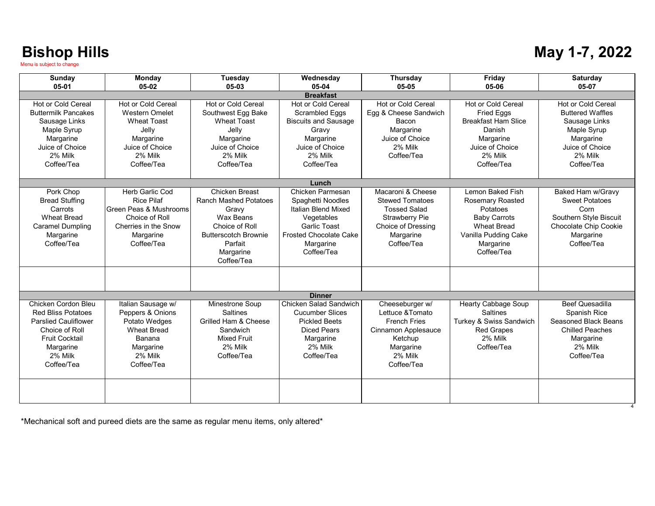|  |  | May 1-7, 2022 |
|--|--|---------------|
|--|--|---------------|

| Sunday                                                   | Monday                            | Tuesday                                 | Wednesday                                      | <b>Thursday</b>                         | Friday                                       | <b>Saturday</b>                            |  |
|----------------------------------------------------------|-----------------------------------|-----------------------------------------|------------------------------------------------|-----------------------------------------|----------------------------------------------|--------------------------------------------|--|
| 05-01                                                    | 05-02                             | 05-03                                   | 05-04                                          | 05-05                                   | 05-06                                        | 05-07                                      |  |
| <b>Breakfast</b>                                         |                                   |                                         |                                                |                                         |                                              |                                            |  |
| Hot or Cold Cereal                                       | Hot or Cold Cereal                | Hot or Cold Cereal                      | Hot or Cold Cereal                             | Hot or Cold Cereal                      | Hot or Cold Cereal                           | Hot or Cold Cereal                         |  |
| <b>Buttermilk Pancakes</b>                               | <b>Western Omelet</b>             | Southwest Egg Bake                      | Scrambled Eggs                                 | Egg & Cheese Sandwich                   | <b>Fried Eggs</b>                            | <b>Buttered Waffles</b>                    |  |
| Sausage Links                                            | <b>Wheat Toast</b>                | <b>Wheat Toast</b>                      | <b>Biscuits and Sausage</b>                    | Bacon                                   | <b>Breakfast Ham Slice</b>                   | Sausage Links                              |  |
| Maple Syrup                                              | Jelly                             | Jelly                                   | Gravy                                          | Margarine                               | Danish                                       | Maple Syrup                                |  |
| Margarine                                                | Margarine                         | Margarine                               | Margarine                                      | Juice of Choice                         | Margarine                                    | Margarine                                  |  |
| Juice of Choice                                          | Juice of Choice                   | Juice of Choice                         | Juice of Choice                                | 2% Milk                                 | Juice of Choice                              | Juice of Choice                            |  |
| 2% Milk                                                  | 2% Milk                           | 2% Milk                                 | 2% Milk                                        | Coffee/Tea                              | 2% Milk                                      | 2% Milk                                    |  |
| Coffee/Tea                                               | Coffee/Tea                        | Coffee/Tea                              | Coffee/Tea                                     |                                         | Coffee/Tea                                   | Coffee/Tea                                 |  |
|                                                          |                                   |                                         |                                                |                                         |                                              |                                            |  |
|                                                          | Herb Garlic Cod                   | <b>Chicken Breast</b>                   | Lunch<br>Chicken Parmesan                      | Macaroni & Cheese                       | Lemon Baked Fish                             |                                            |  |
| Pork Chop<br><b>Bread Stuffing</b>                       | <b>Rice Pilaf</b>                 | <b>Ranch Mashed Potatoes</b>            | Spaghetti Noodles                              | <b>Stewed Tomatoes</b>                  | <b>Rosemary Roasted</b>                      | Baked Ham w/Gravy<br><b>Sweet Potatoes</b> |  |
| Carrots                                                  | Green Peas & Mushrooms            | Gravy                                   | Italian Blend Mixed                            | <b>Tossed Salad</b>                     | Potatoes                                     | Corn                                       |  |
| <b>Wheat Bread</b>                                       | Choice of Roll                    | Wax Beans                               | Vegetables                                     | <b>Strawberry Pie</b>                   | <b>Baby Carrots</b>                          | Southern Style Biscuit                     |  |
| <b>Caramel Dumpling</b>                                  | Cherries in the Snow              | Choice of Roll                          | <b>Garlic Toast</b>                            | Choice of Dressing                      | <b>Wheat Bread</b>                           | Chocolate Chip Cookie                      |  |
| Margarine                                                | Margarine                         | <b>Butterscotch Brownie</b>             | <b>Frosted Chocolate Cake</b>                  | Margarine                               | Vanilla Pudding Cake                         | Margarine                                  |  |
| Coffee/Tea                                               | Coffee/Tea                        | Parfait                                 | Margarine                                      | Coffee/Tea                              | Margarine                                    | Coffee/Tea                                 |  |
|                                                          |                                   | Margarine                               | Coffee/Tea                                     |                                         | Coffee/Tea                                   |                                            |  |
|                                                          |                                   | Coffee/Tea                              |                                                |                                         |                                              |                                            |  |
|                                                          |                                   |                                         |                                                |                                         |                                              |                                            |  |
|                                                          |                                   |                                         |                                                |                                         |                                              |                                            |  |
|                                                          |                                   |                                         |                                                |                                         |                                              |                                            |  |
|                                                          |                                   |                                         | <b>Dinner</b>                                  |                                         |                                              |                                            |  |
| Chicken Cordon Bleu                                      | Italian Sausage w/                | Minestrone Soup                         | Chicken Salad Sandwich                         | Cheeseburger w/                         | <b>Hearty Cabbage Soup</b>                   | <b>Beef Quesadilla</b>                     |  |
| <b>Red Bliss Potatoes</b><br><b>Parslied Cauliflower</b> | Peppers & Onions<br>Potato Wedges | <b>Saltines</b><br>Grilled Ham & Cheese | <b>Cucumber Slices</b><br><b>Pickled Beets</b> | Lettuce & Tomato<br><b>French Fries</b> | <b>Saltines</b>                              | Spanish Rice<br>Seasoned Black Beans       |  |
| Choice of Roll                                           | <b>Wheat Bread</b>                | Sandwich                                | <b>Diced Pears</b>                             |                                         | Turkey & Swiss Sandwich<br><b>Red Grapes</b> | <b>Chilled Peaches</b>                     |  |
| <b>Fruit Cocktail</b>                                    | Banana                            | <b>Mixed Fruit</b>                      | Margarine                                      | Cinnamon Applesauce<br>Ketchup          | 2% Milk                                      | Margarine                                  |  |
|                                                          | Margarine                         | 2% Milk                                 | 2% Milk                                        | Margarine                               | Coffee/Tea                                   | 2% Milk                                    |  |
| Margarine<br>2% Milk                                     | 2% Milk                           | Coffee/Tea                              | Coffee/Tea                                     | 2% Milk                                 |                                              | Coffee/Tea                                 |  |
| Coffee/Tea                                               | Coffee/Tea                        |                                         |                                                | Coffee/Tea                              |                                              |                                            |  |
|                                                          |                                   |                                         |                                                |                                         |                                              |                                            |  |
|                                                          |                                   |                                         |                                                |                                         |                                              |                                            |  |
|                                                          |                                   |                                         |                                                |                                         |                                              |                                            |  |
|                                                          |                                   |                                         |                                                |                                         |                                              |                                            |  |

\*Mechanical soft and pureed diets are the same as regular menu items, only altered\*